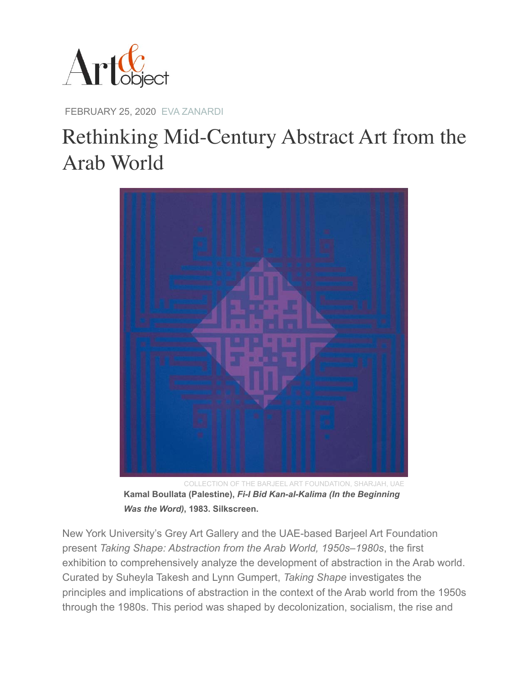

FEBRUARY 25, 2020 [EVA ZANARDI](https://www.artandobject.com/authors/eva-zanardi)

## Rethinking Mid-Century Abstract Art from the Arab World



COLLECTION OF THE BARJEEL ART FOUNDATION, SHARJAH, UAE **Kamal Boullata (Palestine),** *Fi-I Bid Kan-al-Kalima (In the Beginning Was the Word)***, 1983. Silkscreen.** 

New York University's Grey Art Gallery and the UAE-based Barjeel Art Foundation present *Taking Shape: Abstraction from the Arab World, 1950s–1980s*, the first exhibition to comprehensively analyze the development of abstraction in the Arab world. Curated by Suheyla Takesh and Lynn Gumpert, *Taking Shape* investigates the principles and implications of abstraction in the context of the Arab world from the 1950s through the 1980s. This period was shaped by decolonization, socialism, the rise and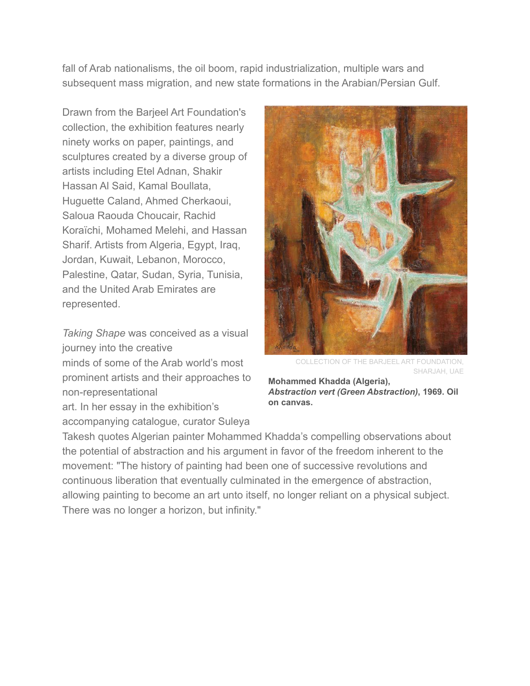fall of Arab nationalisms, the oil boom, rapid industrialization, multiple wars and subsequent mass migration, and new state formations in the Arabian/Persian Gulf.

Drawn from the Barjeel Art Foundation's collection, the exhibition features nearly ninety works on paper, paintings, and sculptures created by a diverse group of artists including Etel Adnan, Shakir Hassan Al Said, Kamal Boullata, Huguette Caland, Ahmed Cherkaoui, Saloua Raouda Choucair, Rachid Koraïchi, Mohamed Melehi, and Hassan Sharif. Artists from Algeria, Egypt, Iraq, Jordan, Kuwait, Lebanon, Morocco, Palestine, Qatar, Sudan, Syria, Tunisia, and the United Arab Emirates are represented.

*Taking Shape* was conceived as a visual journey into the creative

minds of some of the Arab world's most prominent artists and their approaches to non-representational

art. In her essay in the exhibition's accompanying catalogue, curator Suleya



COLLECTION OF THE BARJEEL ART FOUNDATION, SHARJAH, UAE

**Mohammed Khadda (Algeria),**  *Abstraction vert (Green Abstraction)***, 1969. Oil on canvas.** 

Takesh quotes Algerian painter Mohammed Khadda's compelling observations about the potential of abstraction and his argument in favor of the freedom inherent to the movement: "The history of painting had been one of successive revolutions and continuous liberation that eventually culminated in the emergence of abstraction, allowing painting to become an art unto itself, no longer reliant on a physical subject. There was no longer a horizon, but infinity."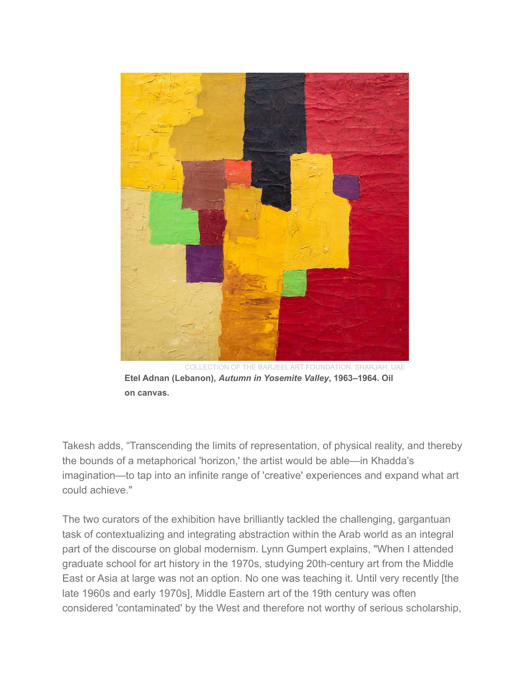

COLLECTION OF THE BARJEEL ART FOUNDATION, SHARJAH, UAE **Etel Adnan (Lebanon),** *Autumn in Yosemite Valley***, 1963–1964. Oil on canvas.** 

Takesh adds, "Transcending the limits of representation, of physical reality, and thereby the bounds of a metaphorical 'horizon,' the artist would be able—in Khadda's imagination—to tap into an infinite range of 'creative' experiences and expand what art could achieve."

The two curators of the exhibition have brilliantly tackled the challenging, gargantuan task of contextualizing and integrating abstraction within the Arab world as an integral part of the discourse on global modernism. Lynn Gumpert explains, "When I attended graduate school for art history in the 1970s, studying 20th-century art from the Middle East or Asia at large was not an option. No one was teaching it. Until very recently [the late 1960s and early 1970s], Middle Eastern art of the 19th century was often considered 'contaminated' by the West and therefore not worthy of serious scholarship,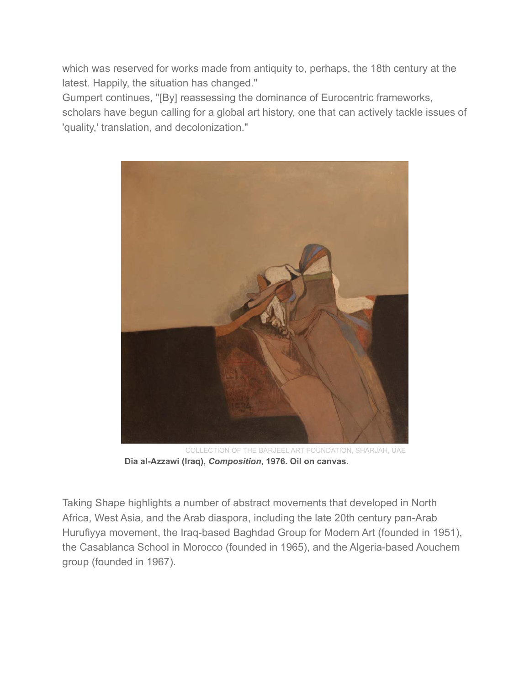which was reserved for works made from antiquity to, perhaps, the 18th century at the latest. Happily, the situation has changed."

Gumpert continues, "[By] reassessing the dominance of Eurocentric frameworks, scholars have begun calling for a global art history, one that can actively tackle issues of 'quality,' translation, and decolonization."



COLLECTION OF THE BARJEEL ART FOUNDATION, SHARJAH, UAE **Dia al-Azzawi (Iraq),** *Composition***, 1976. Oil on canvas.** 

Taking Shape highlights a number of abstract movements that developed in North Africa, West Asia, and the Arab diaspora, including the late 20th century pan-Arab Hurufiyya movement, the Iraq-based Baghdad Group for Modern Art (founded in 1951), the Casablanca School in Morocco (founded in 1965), and the Algeria-based Aouchem group (founded in 1967).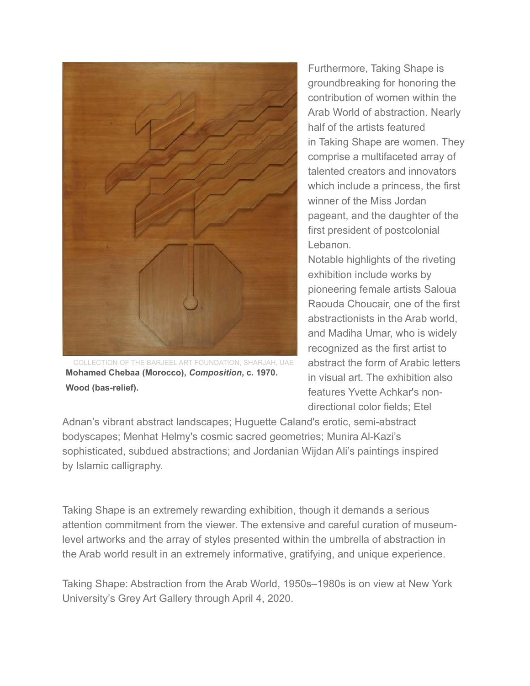

COLLECTION OF THE BARJEEL ART FOUNDATION, SHARJAH, UAE **Mohamed Chebaa (Morocco),** *Composition***, c. 1970. Wood (bas-relief).** 

Furthermore, Taking Shape is groundbreaking for honoring the contribution of women within the Arab World of abstraction. Nearly half of the artists featured in Taking Shape are women. They comprise a multifaceted array of talented creators and innovators which include a princess, the first winner of the Miss Jordan pageant, and the daughter of the first president of postcolonial Lebanon.

Notable highlights of the riveting exhibition include works by pioneering female artists Saloua Raouda Choucair, one of the first abstractionists in the Arab world, and Madiha Umar, who is widely recognized as the first artist to abstract the form of Arabic letters in visual art. The exhibition also features Yvette Achkar's nondirectional color fields; Etel

Adnan's vibrant abstract landscapes; Huguette Caland's erotic, semi-abstract bodyscapes; Menhat Helmy's cosmic sacred geometries; Munira Al-Kazi's sophisticated, subdued abstractions; and Jordanian Wijdan Ali's paintings inspired by Islamic calligraphy.

Taking Shape is an extremely rewarding exhibition, though it demands a serious attention commitment from the viewer. The extensive and careful curation of museumlevel artworks and the array of styles presented within the umbrella of abstraction in the Arab world result in an extremely informative, gratifying, and unique experience.

Taking Shape: Abstraction from the Arab World, 1950s–1980s is on view at New York University's Grey Art Gallery through April 4, 2020.